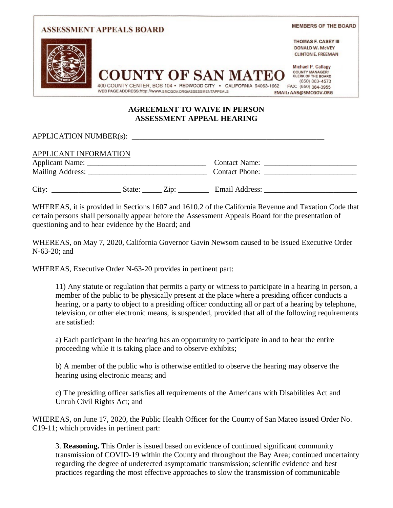

## **AGREEMENT TO WAIVE IN PERSON ASSESSMENT APPEAL HEARING**

APPLICATION NUMBER(s): \_\_\_\_\_\_\_\_\_\_\_\_\_\_\_\_\_\_\_\_\_\_\_\_\_\_\_\_\_\_\_\_\_\_\_\_\_\_\_\_\_\_\_\_\_\_\_\_\_\_

| APPLICANT INFORMATION |        |         |                       |  |
|-----------------------|--------|---------|-----------------------|--|
| Applicant Name:       |        |         | <b>Contact Name:</b>  |  |
| Mailing Address:      |        |         | <b>Contact Phone:</b> |  |
| City:                 | State: | $Z$ 1D: | Email Address:        |  |

WHEREAS, it is provided in Sections 1607 and 1610.2 of the California Revenue and Taxation Code that certain persons shall personally appear before the Assessment Appeals Board for the presentation of questioning and to hear evidence by the Board; and

WHEREAS, on May 7, 2020, California Governor Gavin Newsom caused to be issued Executive Order N-63-20; and

WHEREAS, Executive Order N-63-20 provides in pertinent part:

11) Any statute or regulation that permits a party or witness to participate in a hearing in person, a member of the public to be physically present at the place where a presiding officer conducts a hearing, or a party to object to a presiding officer conducting all or part of a hearing by telephone, television, or other electronic means, is suspended, provided that all of the following requirements are satisfied:

a) Each participant in the hearing has an opportunity to participate in and to hear the entire proceeding while it is taking place and to observe exhibits;

b) A member of the public who is otherwise entitled to observe the hearing may observe the hearing using electronic means; and

c) The presiding officer satisfies all requirements of the Americans with Disabilities Act and Unruh Civil Rights Act; and

WHEREAS, on June 17, 2020, the Public Health Officer for the County of San Mateo issued Order No. C19-11; which provides in pertinent part:

3. **Reasoning.** This Order is issued based on evidence of continued significant community transmission of COVID-19 within the County and throughout the Bay Area; continued uncertainty regarding the degree of undetected asymptomatic transmission; scientific evidence and best practices regarding the most effective approaches to slow the transmission of communicable